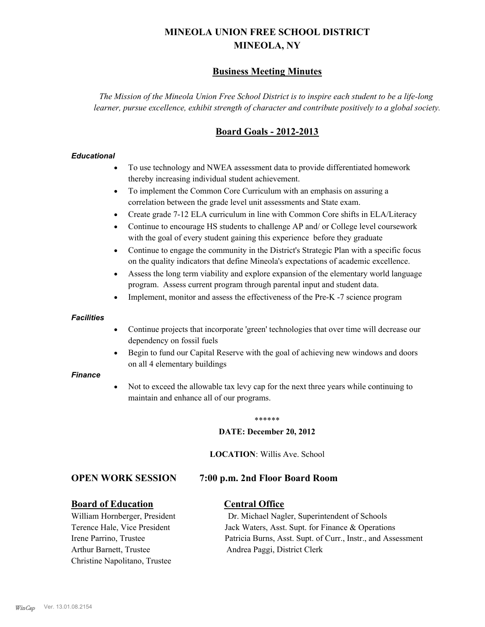# **MINEOLA UNION FREE SCHOOL DISTRICT MINEOLA, NY**

# **Business Meeting Minutes**

*The Mission of the Mineola Union Free School District is to inspire each student to be a life-long learner, pursue excellence, exhibit strength of character and contribute positively to a global society.*

# **Board Goals - 2012-2013**

# *Educational*

- · To use technology and NWEA assessment data to provide differentiated homework thereby increasing individual student achievement.
- · To implement the Common Core Curriculum with an emphasis on assuring a correlation between the grade level unit assessments and State exam.
- Create grade 7-12 ELA curriculum in line with Common Core shifts in ELA/Literacy
- Continue to encourage HS students to challenge AP and/ or College level coursework with the goal of every student gaining this experience before they graduate
- · Continue to engage the community in the District's Strategic Plan with a specific focus on the quality indicators that define Mineola's expectations of academic excellence.
- Assess the long term viability and explore expansion of the elementary world language program. Assess current program through parental input and student data.
- Implement, monitor and assess the effectiveness of the Pre-K -7 science program

### *Facilities*

- · Continue projects that incorporate 'green' technologies that over time will decrease our dependency on fossil fuels
- Begin to fund our Capital Reserve with the goal of achieving new windows and doors on all 4 elementary buildings

### *Finance*

Not to exceed the allowable tax levy cap for the next three years while continuing to maintain and enhance all of our programs.

#### \*\*\*\*\*\*

### **DATE: December 20, 2012**

**LOCATION**: Willis Ave. School

# **OPEN WORK SESSION 7:00 p.m. 2nd Floor Board Room**

# **Board of Education Central Office**

Arthur Barnett, Trustee Andrea Paggi, District Clerk Christine Napolitano, Trustee

William Hornberger, President Dr. Michael Nagler, Superintendent of Schools Terence Hale, Vice President Jack Waters, Asst. Supt. for Finance & Operations Irene Parrino, Trustee Patricia Burns, Asst. Supt. of Curr., Instr., and Assessment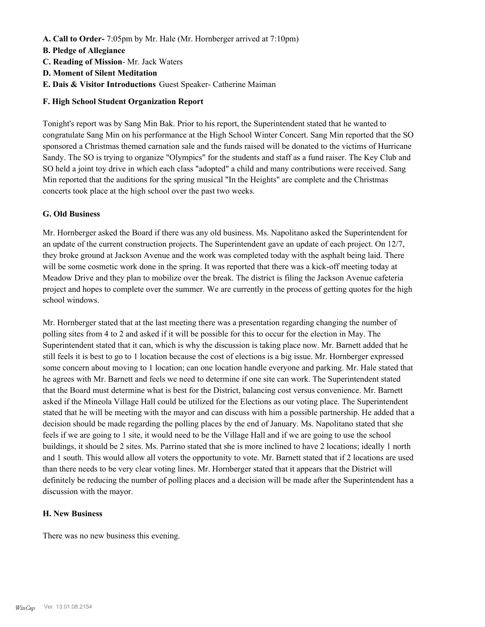- **A. Call to Order-** 7:05pm by Mr. Hale (Mr. Hornberger arrived at 7:10pm)
- **B. Pledge of Allegiance**
- **C. Reading of Mission** Mr. Jack Waters
- **D. Moment of Silent Meditation**
- **E. Dais & Visitor Introductions** Guest Speaker- Catherine Maiman

# **F. High School Student Organization Report**

Tonight's report was by Sang Min Bak. Prior to his report, the Superintendent stated that he wanted to congratulate Sang Min on his performance at the High School Winter Concert. Sang Min reported that the SO sponsored a Christmas themed carnation sale and the funds raised will be donated to the victims of Hurricane Sandy. The SO is trying to organize "Olympics" for the students and staff as a fund raiser. The Key Club and SO held a joint toy drive in which each class "adopted" a child and many contributions were received. Sang Min reported that the auditions for the spring musical "In the Heights" are complete and the Christmas concerts took place at the high school over the past two weeks.

# **G. Old Business**

Mr. Hornberger asked the Board if there was any old business. Ms. Napolitano asked the Superintendent for an update of the current construction projects. The Superintendent gave an update of each project. On 12/7, they broke ground at Jackson Avenue and the work was completed today with the asphalt being laid. There will be some cosmetic work done in the spring. It was reported that there was a kick-off meeting today at Meadow Drive and they plan to mobilize over the break. The district is filing the Jackson Avenue cafeteria project and hopes to complete over the summer. We are currently in the process of getting quotes for the high school windows.

Mr. Hornberger stated that at the last meeting there was a presentation regarding changing the number of polling sites from 4 to 2 and asked if it will be possible for this to occur for the election in May. The Superintendent stated that it can, which is why the discussion is taking place now. Mr. Barnett added that he still feels it is best to go to 1 location because the cost of elections is a big issue. Mr. Hornberger expressed some concern about moving to 1 location; can one location handle everyone and parking. Mr. Hale stated that he agrees with Mr. Barnett and feels we need to determine if one site can work. The Superintendent stated that the Board must determine what is best for the District, balancing cost versus convenience. Mr. Barnett asked if the Mineola Village Hall could be utilized for the Elections as our voting place. The Superintendent stated that he will be meeting with the mayor and can discuss with him a possible partnership. He added that a decision should be made regarding the polling places by the end of January. Ms. Napolitano stated that she feels if we are going to 1 site, it would need to be the Village Hall and if we are going to use the school buildings, it should be 2 sites. Ms. Parrino stated that she is more inclined to have 2 locations; ideally 1 north and 1 south. This would allow all voters the opportunity to vote. Mr. Barnett stated that if 2 locations are used than there needs to be very clear voting lines. Mr. Hornberger stated that it appears that the District will definitely be reducing the number of polling places and a decision will be made after the Superintendent has a discussion with the mayor.

# **H. New Business**

There was no new business this evening.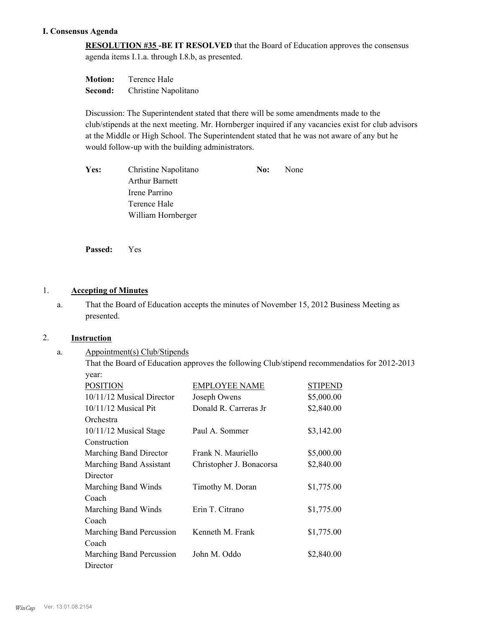# **I. Consensus Agenda**

**RESOLUTION #35 -BE IT RESOLVED** that the Board of Education approves the consensus agenda items I.1.a. through I.8.b, as presented.

| <b>Motion:</b> | Terence Hale         |
|----------------|----------------------|
| Second:        | Christine Napolitano |

Discussion: The Superintendent stated that there will be some amendments made to the club/stipends at the next meeting. Mr. Hornberger inquired if any vacancies exist for club advisors at the Middle or High School. The Superintendent stated that he was not aware of any but he would follow-up with the building administrators.

| Yes: | Christine Napolitano  | No: | None |
|------|-----------------------|-----|------|
|      | <b>Arthur Barnett</b> |     |      |
|      | Irene Parrino         |     |      |
|      | Terence Hale          |     |      |
|      | William Hornberger    |     |      |

**Passed:** Yes

# 1. **Accepting of Minutes**

That the Board of Education accepts the minutes of November 15, 2012 Business Meeting as presented. a.

# 2. **Instruction**

Appointment(s) Club/Stipends a.

That the Board of Education approves the following Club/stipend recommendatios for 2012-2013 year:

| <b>POSITION</b>           | <b>EMPLOYEE NAME</b>     | <b>STIPEND</b> |
|---------------------------|--------------------------|----------------|
| 10/11/12 Musical Director | Joseph Owens             | \$5,000.00     |
| $10/11/12$ Musical Pit    | Donald R. Carreras Jr    | \$2,840.00     |
| Orchestra                 |                          |                |
| 10/11/12 Musical Stage    | Paul A. Sommer           | \$3,142.00     |
| Construction              |                          |                |
| Marching Band Director    | Frank N. Mauriello       | \$5,000.00     |
| Marching Band Assistant   | Christopher J. Bonacorsa | \$2,840.00     |
| Director                  |                          |                |
| Marching Band Winds       | Timothy M. Doran         | \$1,775.00     |
| Coach                     |                          |                |
| Marching Band Winds       | Erin T. Citrano          | \$1,775.00     |
| Coach                     |                          |                |
| Marching Band Percussion  | Kenneth M. Frank         | \$1,775.00     |
| Coach                     |                          |                |
| Marching Band Percussion  | John M. Oddo             | \$2,840.00     |
| Director                  |                          |                |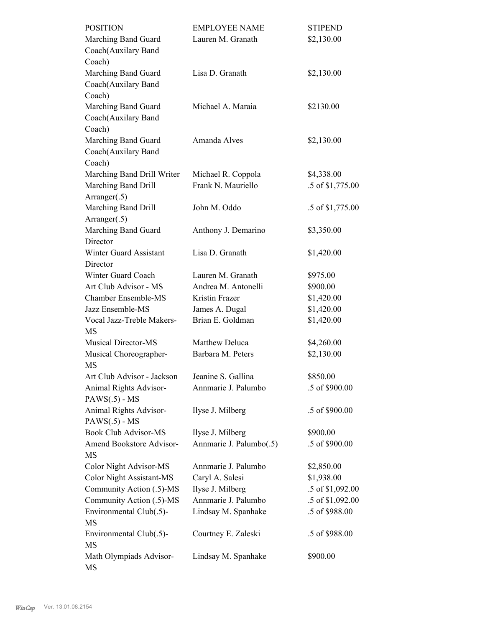| <b>POSITION</b>                                | <b>EMPLOYEE NAME</b>                        | <b>STIPEND</b>             |
|------------------------------------------------|---------------------------------------------|----------------------------|
| Marching Band Guard                            | Lauren M. Granath                           | \$2,130.00                 |
| Coach(Auxilary Band                            |                                             |                            |
| Coach)                                         |                                             |                            |
| Marching Band Guard                            | Lisa D. Granath                             | \$2,130.00                 |
| Coach(Auxilary Band                            |                                             |                            |
| Coach)                                         |                                             |                            |
| Marching Band Guard                            | Michael A. Maraia                           | \$2130.00                  |
| Coach(Auxilary Band                            |                                             |                            |
| Coach)                                         |                                             |                            |
| Marching Band Guard                            | Amanda Alves                                | \$2,130.00                 |
| Coach(Auxilary Band                            |                                             |                            |
| Coach)                                         |                                             |                            |
| Marching Band Drill Writer                     | Michael R. Coppola                          | \$4,338.00                 |
| Marching Band Drill                            | Frank N. Mauriello                          | .5 of \$1,775.00           |
| Arranger(.5)                                   |                                             |                            |
| Marching Band Drill                            | John M. Oddo                                | .5 of \$1,775.00           |
| Arranger(.5)                                   |                                             |                            |
| Marching Band Guard                            | Anthony J. Demarino                         | \$3,350.00                 |
| Director                                       |                                             |                            |
| <b>Winter Guard Assistant</b>                  | Lisa D. Granath                             | \$1,420.00                 |
| Director                                       |                                             |                            |
| Winter Guard Coach                             | Lauren M. Granath                           | \$975.00                   |
| Art Club Advisor - MS                          | Andrea M. Antonelli                         | \$900.00                   |
| <b>Chamber Ensemble-MS</b>                     | Kristin Frazer                              | \$1,420.00                 |
| Jazz Ensemble-MS                               | James A. Dugal                              | \$1,420.00                 |
| Vocal Jazz-Treble Makers-                      | Brian E. Goldman                            | \$1,420.00                 |
| MS                                             |                                             |                            |
| <b>Musical Director-MS</b>                     | Matthew Deluca                              | \$4,260.00                 |
| Musical Choreographer-                         | Barbara M. Peters                           | \$2,130.00                 |
| <b>MS</b>                                      |                                             |                            |
| Art Club Advisor - Jackson                     | Jeanine S. Gallina                          | \$850.00                   |
| Animal Rights Advisor-                         | Annmarie J. Palumbo                         | .5 of \$900.00             |
| $PAWS(.5) - MS$                                |                                             |                            |
| Animal Rights Advisor-                         | Ilyse J. Milberg                            | .5 of \$900.00             |
| $PAWS(.5) - MS$<br><b>Book Club Advisor-MS</b> |                                             |                            |
|                                                | Ilyse J. Milberg<br>Annmarie J. Palumbo(.5) | \$900.00<br>.5 of \$900.00 |
| Amend Bookstore Advisor-<br>MS                 |                                             |                            |
| Color Night Advisor-MS                         | Annmarie J. Palumbo                         | \$2,850.00                 |
| <b>Color Night Assistant-MS</b>                | Caryl A. Salesi                             | \$1,938.00                 |
| Community Action (.5)-MS                       | Ilyse J. Milberg                            | .5 of \$1,092.00           |
| Community Action (.5)-MS                       | Annmarie J. Palumbo                         | .5 of \$1,092.00           |
| Environmental Club(.5)-                        | Lindsay M. Spanhake                         | .5 of \$988.00             |
| <b>MS</b>                                      |                                             |                            |
| Environmental Club(.5)-                        | Courtney E. Zaleski                         | .5 of \$988.00             |
| MS                                             |                                             |                            |
| Math Olympiads Advisor-<br>MS                  | Lindsay M. Spanhake                         | \$900.00                   |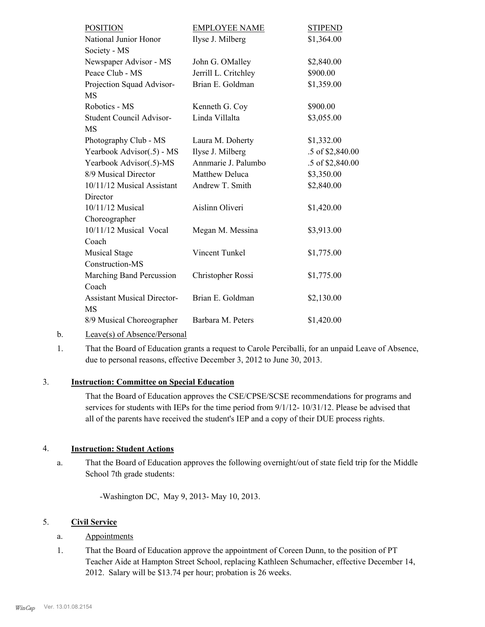| <b>POSITION</b>                    | <b>EMPLOYEE NAME</b> | <b>STIPEND</b>   |
|------------------------------------|----------------------|------------------|
| National Junior Honor              | Ilyse J. Milberg     | \$1,364.00       |
| Society - MS                       |                      |                  |
| Newspaper Advisor - MS             | John G. OMalley      | \$2,840.00       |
| Peace Club - MS                    | Jerrill L. Critchley | \$900.00         |
| Projection Squad Advisor-          | Brian E. Goldman     | \$1,359.00       |
| <b>MS</b>                          |                      |                  |
| Robotics - MS                      | Kenneth G. Coy       | \$900.00         |
| Student Council Advisor-           | Linda Villalta       | \$3,055.00       |
| MS                                 |                      |                  |
| Photography Club - MS              | Laura M. Doherty     | \$1,332.00       |
| Yearbook Advisor(.5) - MS          | Ilyse J. Milberg     | .5 of \$2,840.00 |
| Yearbook Advisor(.5)-MS            | Annmarie J. Palumbo  | .5 of \$2,840.00 |
| 8/9 Musical Director               | Matthew Deluca       | \$3,350.00       |
| 10/11/12 Musical Assistant         | Andrew T. Smith      | \$2,840.00       |
| Director                           |                      |                  |
| 10/11/12 Musical                   | Aislinn Oliveri      | \$1,420.00       |
| Choreographer                      |                      |                  |
| 10/11/12 Musical Vocal             | Megan M. Messina     | \$3,913.00       |
| Coach                              |                      |                  |
| <b>Musical Stage</b>               | Vincent Tunkel       | \$1,775.00       |
| Construction-MS                    |                      |                  |
| Marching Band Percussion           | Christopher Rossi    | \$1,775.00       |
| Coach                              |                      |                  |
| <b>Assistant Musical Director-</b> | Brian E. Goldman     | \$2,130.00       |
| MS                                 |                      |                  |
| 8/9 Musical Choreographer          | Barbara M. Peters    | \$1,420.00       |
|                                    |                      |                  |

b. Leave(s) of Absence/Personal

That the Board of Education grants a request to Carole Perciballi, for an unpaid Leave of Absence, due to personal reasons, effective December 3, 2012 to June 30, 2013. 1.

# 3. **Instruction: Committee on Special Education**

That the Board of Education approves the CSE/CPSE/SCSE recommendations for programs and services for students with IEPs for the time period from 9/1/12- 10/31/12. Please be advised that all of the parents have received the student's IEP and a copy of their DUE process rights.

# 4. **Instruction: Student Actions**

That the Board of Education approves the following overnight/out of state field trip for the Middle School 7th grade students: a.

-Washington DC, May 9, 2013- May 10, 2013.

# 5. **Civil Service**

# a. Appointments

That the Board of Education approve the appointment of Coreen Dunn, to the position of PT Teacher Aide at Hampton Street School, replacing Kathleen Schumacher, effective December 14, 2012. Salary will be \$13.74 per hour; probation is 26 weeks. 1.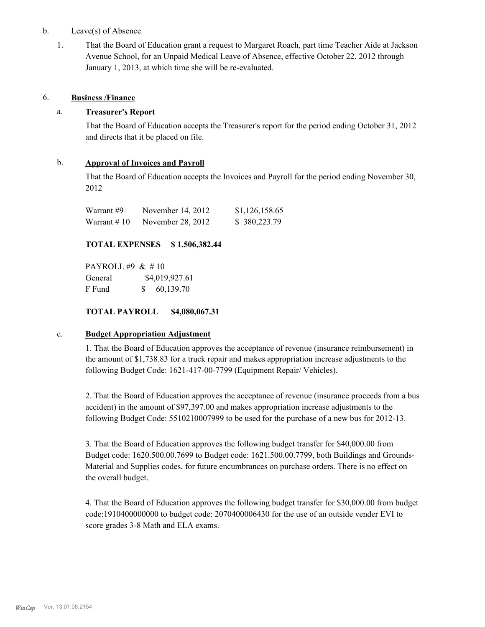# b. Leave(s) of Absence

That the Board of Education grant a request to Margaret Roach, part time Teacher Aide at Jackson Avenue School, for an Unpaid Medical Leave of Absence, effective October 22, 2012 through January 1, 2013, at which time she will be re-evaluated. 1.

# 6. **Business /Finance**

# a. **Treasurer's Report**

That the Board of Education accepts the Treasurer's report for the period ending October 31, 2012 and directs that it be placed on file.

# b. **Approval of Invoices and Payroll**

That the Board of Education accepts the Invoices and Payroll for the period ending November 30, 2012

| Warrant #9   | November 14, 2012 | \$1,126,158.65 |
|--------------|-------------------|----------------|
| Warrant # 10 | November 28, 2012 | \$380,223.79   |

# **TOTAL EXPENSES \$ 1,506,382.44**

PAYROLL #9 & # 10 General \$4,019,927.61 F Fund \$ 60,139.70

**TOTAL PAYROLL \$4,080,067.31**

### c. **Budget Appropriation Adjustment**

1. That the Board of Education approves the acceptance of revenue (insurance reimbursement) in the amount of \$1,738.83 for a truck repair and makes appropriation increase adjustments to the following Budget Code: 1621-417-00-7799 (Equipment Repair/ Vehicles).

2. That the Board of Education approves the acceptance of revenue (insurance proceeds from a bus accident) in the amount of \$97,397.00 and makes appropriation increase adjustments to the following Budget Code: 5510210007999 to be used for the purchase of a new bus for 2012-13.

3. That the Board of Education approves the following budget transfer for \$40,000.00 from Budget code: 1620.500.00.7699 to Budget code: 1621.500.00.7799, both Buildings and Grounds-Material and Supplies codes, for future encumbrances on purchase orders. There is no effect on the overall budget.

4. That the Board of Education approves the following budget transfer for \$30,000.00 from budget code:1910400000000 to budget code: 2070400006430 for the use of an outside vender EVI to score grades 3-8 Math and ELA exams.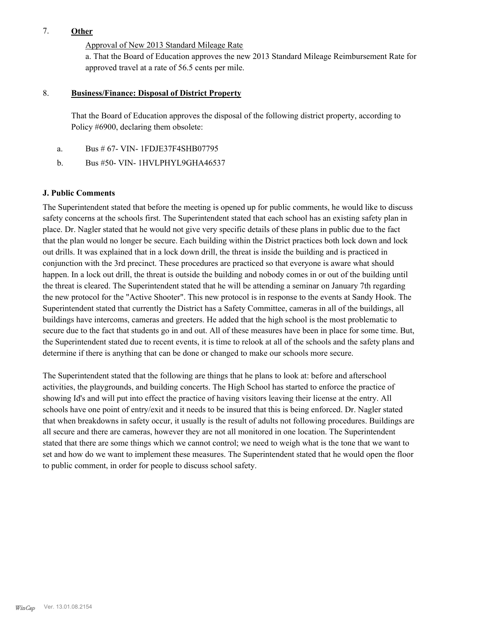# 7. **Other**

Approval of New 2013 Standard Mileage Rate

a. That the Board of Education approves the new 2013 Standard Mileage Reimbursement Rate for approved travel at a rate of 56.5 cents per mile.

#### **Business/Finance: Disposal of District Property** 8.

That the Board of Education approves the disposal of the following district property, according to Policy #6900, declaring them obsolete:

- a. Bus # 67- VIN- 1FDJE37F4SHB07795
- b. Bus #50- VIN- 1HVLPHYL9GHA46537

# **J. Public Comments**

The Superintendent stated that before the meeting is opened up for public comments, he would like to discuss safety concerns at the schools first. The Superintendent stated that each school has an existing safety plan in place. Dr. Nagler stated that he would not give very specific details of these plans in public due to the fact that the plan would no longer be secure. Each building within the District practices both lock down and lock out drills. It was explained that in a lock down drill, the threat is inside the building and is practiced in conjunction with the 3rd precinct. These procedures are practiced so that everyone is aware what should happen. In a lock out drill, the threat is outside the building and nobody comes in or out of the building until the threat is cleared. The Superintendent stated that he will be attending a seminar on January 7th regarding the new protocol for the "Active Shooter". This new protocol is in response to the events at Sandy Hook. The Superintendent stated that currently the District has a Safety Committee, cameras in all of the buildings, all buildings have intercoms, cameras and greeters. He added that the high school is the most problematic to secure due to the fact that students go in and out. All of these measures have been in place for some time. But, the Superintendent stated due to recent events, it is time to relook at all of the schools and the safety plans and determine if there is anything that can be done or changed to make our schools more secure.

The Superintendent stated that the following are things that he plans to look at: before and afterschool activities, the playgrounds, and building concerts. The High School has started to enforce the practice of showing Id's and will put into effect the practice of having visitors leaving their license at the entry. All schools have one point of entry/exit and it needs to be insured that this is being enforced. Dr. Nagler stated that when breakdowns in safety occur, it usually is the result of adults not following procedures. Buildings are all secure and there are cameras, however they are not all monitored in one location. The Superintendent stated that there are some things which we cannot control; we need to weigh what is the tone that we want to set and how do we want to implement these measures. The Superintendent stated that he would open the floor to public comment, in order for people to discuss school safety.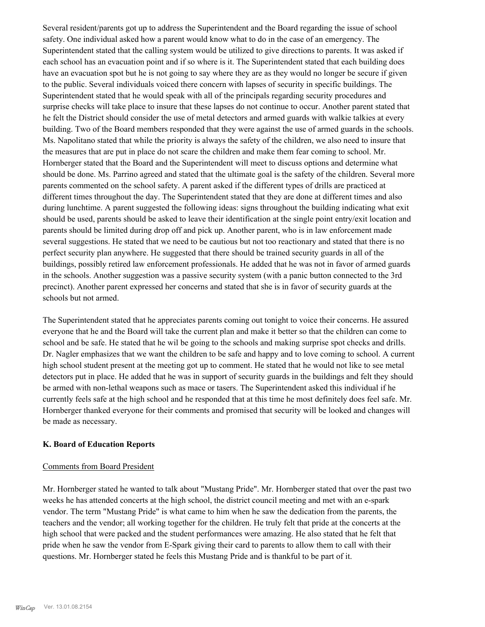Several resident/parents got up to address the Superintendent and the Board regarding the issue of school safety. One individual asked how a parent would know what to do in the case of an emergency. The Superintendent stated that the calling system would be utilized to give directions to parents. It was asked if each school has an evacuation point and if so where is it. The Superintendent stated that each building does have an evacuation spot but he is not going to say where they are as they would no longer be secure if given to the public. Several individuals voiced there concern with lapses of security in specific buildings. The Superintendent stated that he would speak with all of the principals regarding security procedures and surprise checks will take place to insure that these lapses do not continue to occur. Another parent stated that he felt the District should consider the use of metal detectors and armed guards with walkie talkies at every building. Two of the Board members responded that they were against the use of armed guards in the schools. Ms. Napolitano stated that while the priority is always the safety of the children, we also need to insure that the measures that are put in place do not scare the children and make them fear coming to school. Mr. Hornberger stated that the Board and the Superintendent will meet to discuss options and determine what should be done. Ms. Parrino agreed and stated that the ultimate goal is the safety of the children. Several more parents commented on the school safety. A parent asked if the different types of drills are practiced at different times throughout the day. The Superintendent stated that they are done at different times and also during lunchtime. A parent suggested the following ideas: signs throughout the building indicating what exit should be used, parents should be asked to leave their identification at the single point entry/exit location and parents should be limited during drop off and pick up. Another parent, who is in law enforcement made several suggestions. He stated that we need to be cautious but not too reactionary and stated that there is no perfect security plan anywhere. He suggested that there should be trained security guards in all of the buildings, possibly retired law enforcement professionals. He added that he was not in favor of armed guards in the schools. Another suggestion was a passive security system (with a panic button connected to the 3rd precinct). Another parent expressed her concerns and stated that she is in favor of security guards at the schools but not armed.

The Superintendent stated that he appreciates parents coming out tonight to voice their concerns. He assured everyone that he and the Board will take the current plan and make it better so that the children can come to school and be safe. He stated that he wil be going to the schools and making surprise spot checks and drills. Dr. Nagler emphasizes that we want the children to be safe and happy and to love coming to school. A current high school student present at the meeting got up to comment. He stated that he would not like to see metal detectors put in place. He added that he was in support of security guards in the buildings and felt they should be armed with non-lethal weapons such as mace or tasers. The Superintendent asked this individual if he currently feels safe at the high school and he responded that at this time he most definitely does feel safe. Mr. Hornberger thanked everyone for their comments and promised that security will be looked and changes will be made as necessary.

# **K. Board of Education Reports**

### Comments from Board President

Mr. Hornberger stated he wanted to talk about "Mustang Pride". Mr. Hornberger stated that over the past two weeks he has attended concerts at the high school, the district council meeting and met with an e-spark vendor. The term "Mustang Pride" is what came to him when he saw the dedication from the parents, the teachers and the vendor; all working together for the children. He truly felt that pride at the concerts at the high school that were packed and the student performances were amazing. He also stated that he felt that pride when he saw the vendor from E-Spark giving their card to parents to allow them to call with their questions. Mr. Hornberger stated he feels this Mustang Pride and is thankful to be part of it.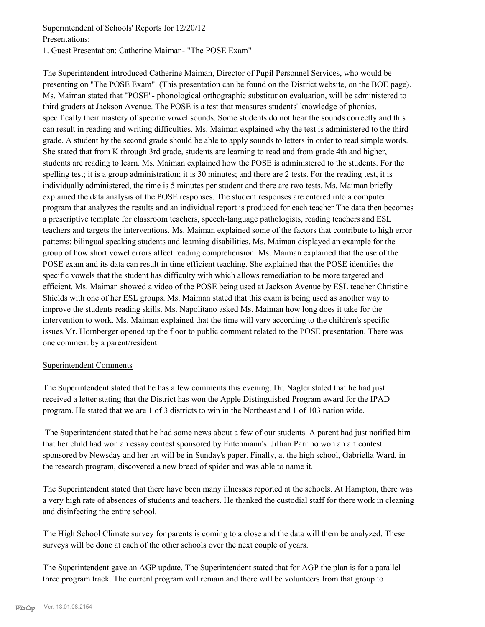# Superintendent of Schools' Reports for 12/20/12

Presentations:

1. Guest Presentation: Catherine Maiman- "The POSE Exam"

The Superintendent introduced Catherine Maiman, Director of Pupil Personnel Services, who would be presenting on "The POSE Exam". (This presentation can be found on the District website, on the BOE page). Ms. Maiman stated that "POSE"- phonological orthographic substitution evaluation, will be administered to third graders at Jackson Avenue. The POSE is a test that measures students' knowledge of phonics, specifically their mastery of specific vowel sounds. Some students do not hear the sounds correctly and this can result in reading and writing difficulties. Ms. Maiman explained why the test is administered to the third grade. A student by the second grade should be able to apply sounds to letters in order to read simple words. She stated that from K through 3rd grade, students are learning to read and from grade 4th and higher, students are reading to learn. Ms. Maiman explained how the POSE is administered to the students. For the spelling test; it is a group administration; it is 30 minutes; and there are 2 tests. For the reading test, it is individually administered, the time is 5 minutes per student and there are two tests. Ms. Maiman briefly explained the data analysis of the POSE responses. The student responses are entered into a computer program that analyzes the results and an individual report is produced for each teacher The data then becomes a prescriptive template for classroom teachers, speech-language pathologists, reading teachers and ESL teachers and targets the interventions. Ms. Maiman explained some of the factors that contribute to high error patterns: bilingual speaking students and learning disabilities. Ms. Maiman displayed an example for the group of how short vowel errors affect reading comprehension. Ms. Maiman explained that the use of the POSE exam and its data can result in time efficient teaching. She explained that the POSE identifies the specific vowels that the student has difficulty with which allows remediation to be more targeted and efficient. Ms. Maiman showed a video of the POSE being used at Jackson Avenue by ESL teacher Christine Shields with one of her ESL groups. Ms. Maiman stated that this exam is being used as another way to improve the students reading skills. Ms. Napolitano asked Ms. Maiman how long does it take for the intervention to work. Ms. Maiman explained that the time will vary according to the children's specific issues.Mr. Hornberger opened up the floor to public comment related to the POSE presentation. There was one comment by a parent/resident.

# Superintendent Comments

The Superintendent stated that he has a few comments this evening. Dr. Nagler stated that he had just received a letter stating that the District has won the Apple Distinguished Program award for the IPAD program. He stated that we are 1 of 3 districts to win in the Northeast and 1 of 103 nation wide.

 The Superintendent stated that he had some news about a few of our students. A parent had just notified him that her child had won an essay contest sponsored by Entenmann's. Jillian Parrino won an art contest sponsored by Newsday and her art will be in Sunday's paper. Finally, at the high school, Gabriella Ward, in the research program, discovered a new breed of spider and was able to name it.

The Superintendent stated that there have been many illnesses reported at the schools. At Hampton, there was a very high rate of absences of students and teachers. He thanked the custodial staff for there work in cleaning and disinfecting the entire school.

The High School Climate survey for parents is coming to a close and the data will them be analyzed. These surveys will be done at each of the other schools over the next couple of years.

The Superintendent gave an AGP update. The Superintendent stated that for AGP the plan is for a parallel three program track. The current program will remain and there will be volunteers from that group to